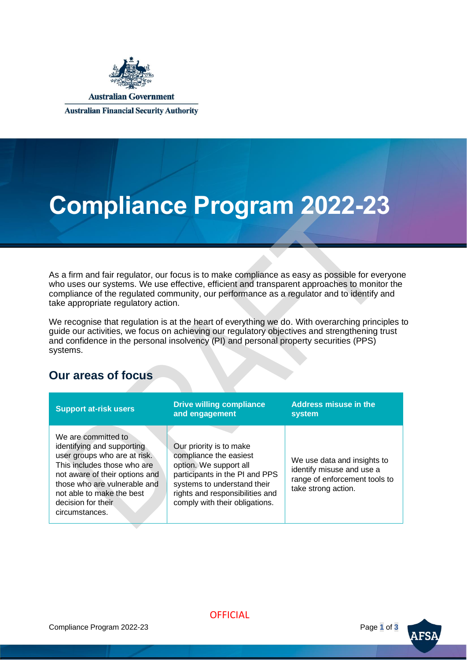

**Australian Government** 

**Australian Financial Security Authority** 

# **Compliance Program 2022-23**

As a firm and fair regulator, our focus is to make compliance as easy as possible for everyone who uses our systems. We use effective, efficient and transparent approaches to monitor the compliance of the regulated community, our performance as a regulator and to identify and take appropriate regulatory action.

We recognise that regulation is at the heart of everything we do. With overarching principles to guide our activities, we focus on achieving our regulatory objectives and strengthening trust and confidence in the personal insolvency (PI) and personal property securities (PPS) systems.

### **Our areas of focus**

| <b>Support at-risk users</b>                                                                                                                                                                                                                            | <b>Drive willing compliance</b><br>and engagement                                                                                                                                                                 | <b>Address misuse in the</b><br>system                                                                           |
|---------------------------------------------------------------------------------------------------------------------------------------------------------------------------------------------------------------------------------------------------------|-------------------------------------------------------------------------------------------------------------------------------------------------------------------------------------------------------------------|------------------------------------------------------------------------------------------------------------------|
| We are committed to<br>identifying and supporting<br>user groups who are at risk.<br>This includes those who are<br>not aware of their options and<br>those who are vulnerable and<br>not able to make the best<br>decision for their<br>circumstances. | Our priority is to make<br>compliance the easiest<br>option. We support all<br>participants in the PI and PPS<br>systems to understand their<br>rights and responsibilities and<br>comply with their obligations. | We use data and insights to<br>identify misuse and use a<br>range of enforcement tools to<br>take strong action. |

**OFFICIAL** 

Compliance Program 2022-23 Page **1** of **3**

**AFSA**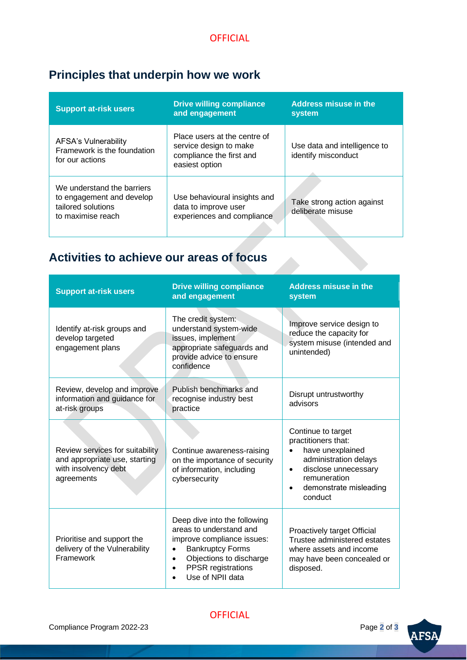## **Principles that underpin how we work**

| <b>Support at-risk users</b>                                                                       | <b>Drive willing compliance</b><br>and engagement                                                    | <b>Address misuse in the</b><br>system              |
|----------------------------------------------------------------------------------------------------|------------------------------------------------------------------------------------------------------|-----------------------------------------------------|
| AFSA's Vulnerability<br>Framework is the foundation<br>for our actions                             | Place users at the centre of<br>service design to make<br>compliance the first and<br>easiest option | Use data and intelligence to<br>identify misconduct |
| We understand the barriers<br>to engagement and develop<br>tailored solutions<br>to maximise reach | Use behavioural insights and<br>data to improve user<br>experiences and compliance                   | Take strong action against<br>deliberate misuse     |

## **Activities to achieve our areas of focus**

| <b>Support at-risk users</b>                                                                           | <b>Drive willing compliance</b><br>and engagement                                                                                                                                                                      | <b>Address misuse in the</b><br>system                                                                                                                                                        |
|--------------------------------------------------------------------------------------------------------|------------------------------------------------------------------------------------------------------------------------------------------------------------------------------------------------------------------------|-----------------------------------------------------------------------------------------------------------------------------------------------------------------------------------------------|
| Identify at-risk groups and<br>develop targeted<br>engagement plans                                    | The credit system:<br>understand system-wide<br>issues, implement<br>appropriate safeguards and<br>provide advice to ensure<br>confidence                                                                              | Improve service design to<br>reduce the capacity for<br>system misuse (intended and<br>unintended)                                                                                            |
| Review, develop and improve<br>information and guidance for<br>at-risk groups                          | Publish benchmarks and<br>recognise industry best<br>practice                                                                                                                                                          | Disrupt untrustworthy<br>advisors                                                                                                                                                             |
| Review services for suitability<br>and appropriate use, starting<br>with insolvency debt<br>agreements | Continue awareness-raising<br>on the importance of security<br>of information, including<br>cybersecurity                                                                                                              | Continue to target<br>practitioners that:<br>have unexplained<br>administration delays<br>disclose unnecessary<br>$\bullet$<br>remuneration<br>demonstrate misleading<br>$\bullet$<br>conduct |
| Prioritise and support the<br>delivery of the Vulnerability<br>Framework                               | Deep dive into the following<br>areas to understand and<br>improve compliance issues:<br><b>Bankruptcy Forms</b><br>$\bullet$<br>Objections to discharge<br>$\bullet$<br><b>PPSR</b> registrations<br>Use of NPII data | Proactively target Official<br>Trustee administered estates<br>where assets and income<br>may have been concealed or<br>disposed.                                                             |